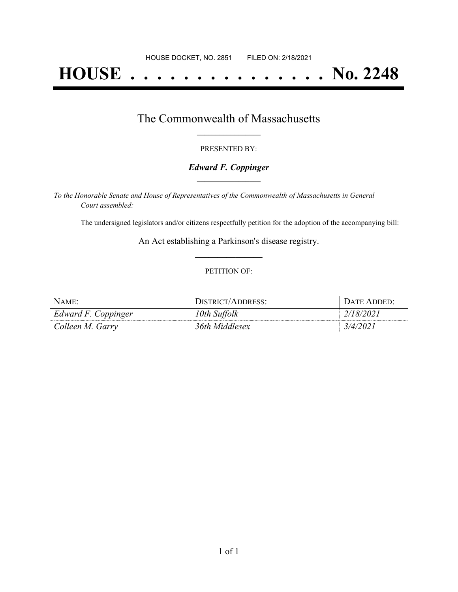# **HOUSE . . . . . . . . . . . . . . . No. 2248**

### The Commonwealth of Massachusetts **\_\_\_\_\_\_\_\_\_\_\_\_\_\_\_\_\_**

#### PRESENTED BY:

#### *Edward F. Coppinger* **\_\_\_\_\_\_\_\_\_\_\_\_\_\_\_\_\_**

*To the Honorable Senate and House of Representatives of the Commonwealth of Massachusetts in General Court assembled:*

The undersigned legislators and/or citizens respectfully petition for the adoption of the accompanying bill:

An Act establishing a Parkinson's disease registry. **\_\_\_\_\_\_\_\_\_\_\_\_\_\_\_**

#### PETITION OF:

| NAME:               | DISTRICT/ADDRESS: | DATE ADDED: |
|---------------------|-------------------|-------------|
| Edward F. Coppinger | 10th Suffolk      | 2/18/2021   |
| Colleen M. Garry    | 36th Middlesex    | 3/4/202     |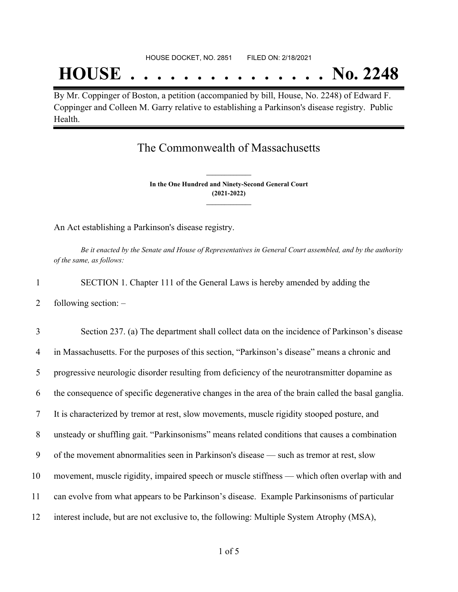# **HOUSE . . . . . . . . . . . . . . . No. 2248**

By Mr. Coppinger of Boston, a petition (accompanied by bill, House, No. 2248) of Edward F. Coppinger and Colleen M. Garry relative to establishing a Parkinson's disease registry. Public Health.

## The Commonwealth of Massachusetts

**In the One Hundred and Ninety-Second General Court (2021-2022) \_\_\_\_\_\_\_\_\_\_\_\_\_\_\_**

**\_\_\_\_\_\_\_\_\_\_\_\_\_\_\_**

An Act establishing a Parkinson's disease registry.

Be it enacted by the Senate and House of Representatives in General Court assembled, and by the authority *of the same, as follows:*

- 1 SECTION 1. Chapter 111 of the General Laws is hereby amended by adding the
- 2 following section: –

 Section 237. (a) The department shall collect data on the incidence of Parkinson's disease in Massachusetts. For the purposes of this section, "Parkinson's disease" means a chronic and progressive neurologic disorder resulting from deficiency of the neurotransmitter dopamine as the consequence of specific degenerative changes in the area of the brain called the basal ganglia. It is characterized by tremor at rest, slow movements, muscle rigidity stooped posture, and unsteady or shuffling gait. "Parkinsonisms" means related conditions that causes a combination of the movement abnormalities seen in Parkinson's disease — such as tremor at rest, slow movement, muscle rigidity, impaired speech or muscle stiffness — which often overlap with and can evolve from what appears to be Parkinson's disease. Example Parkinsonisms of particular interest include, but are not exclusive to, the following: Multiple System Atrophy (MSA),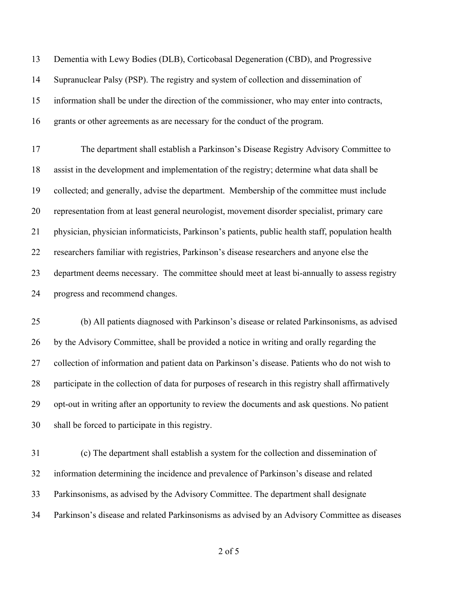Dementia with Lewy Bodies (DLB), Corticobasal Degeneration (CBD), and Progressive Supranuclear Palsy (PSP). The registry and system of collection and dissemination of information shall be under the direction of the commissioner, who may enter into contracts, grants or other agreements as are necessary for the conduct of the program. The department shall establish a Parkinson's Disease Registry Advisory Committee to assist in the development and implementation of the registry; determine what data shall be collected; and generally, advise the department. Membership of the committee must include representation from at least general neurologist, movement disorder specialist, primary care physician, physician informaticists, Parkinson's patients, public health staff, population health researchers familiar with registries, Parkinson's disease researchers and anyone else the department deems necessary. The committee should meet at least bi-annually to assess registry progress and recommend changes.

 (b) All patients diagnosed with Parkinson's disease or related Parkinsonisms, as advised by the Advisory Committee, shall be provided a notice in writing and orally regarding the collection of information and patient data on Parkinson's disease. Patients who do not wish to participate in the collection of data for purposes of research in this registry shall affirmatively opt-out in writing after an opportunity to review the documents and ask questions. No patient shall be forced to participate in this registry.

 (c) The department shall establish a system for the collection and dissemination of information determining the incidence and prevalence of Parkinson's disease and related Parkinsonisms, as advised by the Advisory Committee. The department shall designate Parkinson's disease and related Parkinsonisms as advised by an Advisory Committee as diseases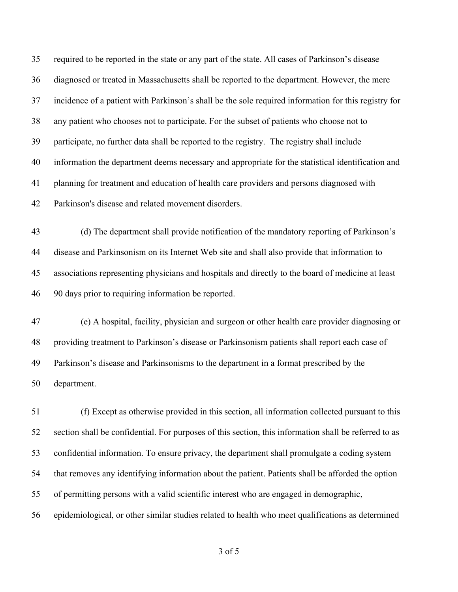required to be reported in the state or any part of the state. All cases of Parkinson's disease diagnosed or treated in Massachusetts shall be reported to the department. However, the mere incidence of a patient with Parkinson's shall be the sole required information for this registry for any patient who chooses not to participate. For the subset of patients who choose not to participate, no further data shall be reported to the registry. The registry shall include information the department deems necessary and appropriate for the statistical identification and planning for treatment and education of health care providers and persons diagnosed with Parkinson's disease and related movement disorders.

 (d) The department shall provide notification of the mandatory reporting of Parkinson's disease and Parkinsonism on its Internet Web site and shall also provide that information to associations representing physicians and hospitals and directly to the board of medicine at least 90 days prior to requiring information be reported.

 (e) A hospital, facility, physician and surgeon or other health care provider diagnosing or providing treatment to Parkinson's disease or Parkinsonism patients shall report each case of Parkinson's disease and Parkinsonisms to the department in a format prescribed by the department.

 (f) Except as otherwise provided in this section, all information collected pursuant to this section shall be confidential. For purposes of this section, this information shall be referred to as confidential information. To ensure privacy, the department shall promulgate a coding system that removes any identifying information about the patient. Patients shall be afforded the option of permitting persons with a valid scientific interest who are engaged in demographic, epidemiological, or other similar studies related to health who meet qualifications as determined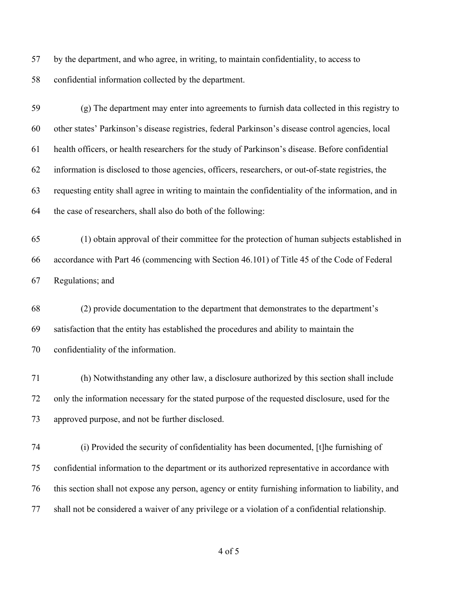by the department, and who agree, in writing, to maintain confidentiality, to access to confidential information collected by the department.

 (g) The department may enter into agreements to furnish data collected in this registry to other states' Parkinson's disease registries, federal Parkinson's disease control agencies, local health officers, or health researchers for the study of Parkinson's disease. Before confidential information is disclosed to those agencies, officers, researchers, or out-of-state registries, the requesting entity shall agree in writing to maintain the confidentiality of the information, and in the case of researchers, shall also do both of the following:

 (1) obtain approval of their committee for the protection of human subjects established in accordance with Part 46 (commencing with Section 46.101) of Title 45 of the Code of Federal Regulations; and

 (2) provide documentation to the department that demonstrates to the department's satisfaction that the entity has established the procedures and ability to maintain the confidentiality of the information.

 (h) Notwithstanding any other law, a disclosure authorized by this section shall include only the information necessary for the stated purpose of the requested disclosure, used for the approved purpose, and not be further disclosed.

 (i) Provided the security of confidentiality has been documented, [t]he furnishing of confidential information to the department or its authorized representative in accordance with this section shall not expose any person, agency or entity furnishing information to liability, and shall not be considered a waiver of any privilege or a violation of a confidential relationship.